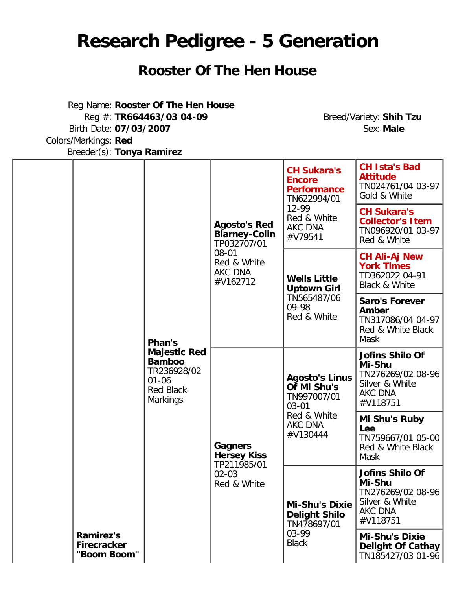## **Research Pedigree - 5 Generation**

## **Rooster Of The Hen House**

Reg Name: **Rooster Of The Hen House** Reg #: **TR664463/03 04-09** Breed/Variety: **Shih Tzu** Birth Date: **07/03/2007** Sex: **Male** Colors/Markings: **Red** Breeder(s): **Tonya Ramirez**

|                                                       |                                                                                                         | <b>Agosto's Red</b><br><b>Blarney-Colin</b><br>TP032707/01<br>$08 - 01$<br>Red & White<br>AKC DNA<br>#V162712 | <b>CH Sukara's</b><br><b>Encore</b><br><b>Performance</b><br>TN622994/01<br>12-99<br>Red & White<br><b>AKC DNA</b><br>#V79541 | <b>CH Ista's Bad</b><br><b>Attitude</b><br>TN024761/04 03-97<br>Gold & White                   |
|-------------------------------------------------------|---------------------------------------------------------------------------------------------------------|---------------------------------------------------------------------------------------------------------------|-------------------------------------------------------------------------------------------------------------------------------|------------------------------------------------------------------------------------------------|
|                                                       |                                                                                                         |                                                                                                               |                                                                                                                               | <b>CH Sukara's</b><br><b>Collector's Item</b><br>TN096920/01 03-97<br>Red & White              |
|                                                       |                                                                                                         |                                                                                                               | <b>Wells Little</b><br><b>Uptown Girl</b><br>TN565487/06<br>09-98<br>Red & White                                              | <b>CH Ali-Aj New</b><br><b>York Times</b><br>TD362022 04-91<br><b>Black &amp; White</b>        |
|                                                       | Phan's                                                                                                  |                                                                                                               |                                                                                                                               | <b>Saro's Forever</b><br>Amber<br>TN317086/04 04-97<br>Red & White Black<br><b>Mask</b>        |
|                                                       | <b>Majestic Red</b><br><b>Bamboo</b><br>TR236928/02<br>$01 - 06$<br><b>Red Black</b><br><b>Markings</b> |                                                                                                               | <b>Agosto's Linus</b><br>Of Mi Shu's<br>TN997007/01<br>$03 - 01$<br>Red & White<br>AKC DNA<br>#V130444                        | <b>Jofins Shilo Of</b><br>Mi-Shu<br>TN276269/02 08-96<br>Silver & White<br>AKC DNA<br>#V118751 |
|                                                       |                                                                                                         | <b>Gagners</b><br><b>Hersey Kiss</b><br>TP211985/01                                                           |                                                                                                                               | Mi Shu's Ruby<br>Lee<br>TN759667/01 05-00<br>Red & White Black<br><b>Mask</b>                  |
|                                                       |                                                                                                         | $02 - 03$<br>Red & White                                                                                      | <b>Mi-Shu's Dixie</b><br><b>Delight Shilo</b><br>TN478697/01<br>03-99<br><b>Black</b>                                         | Jofins Shilo Of<br>Mi-Shu<br>TN276269/02 08-96<br>Silver & White<br>AKC DNA<br>#V118751        |
| <b>Ramirez's</b><br><b>Firecracker</b><br>"Boom Boom" |                                                                                                         |                                                                                                               |                                                                                                                               | <b>Mi-Shu's Dixie</b><br>Delight Of Cathay<br>TN185427/03 01-96                                |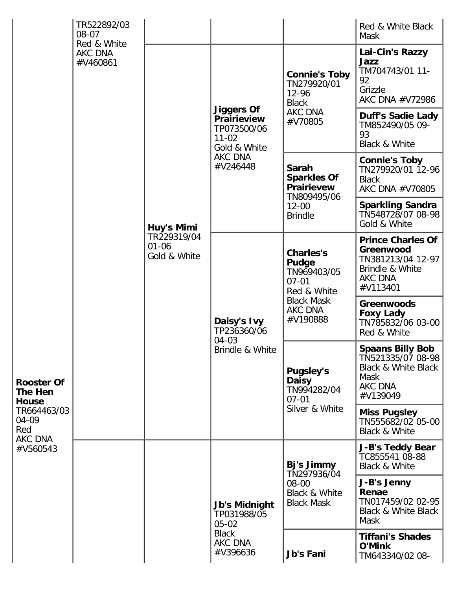|                                                                                                           | TR522892/03<br>$08 - 07$<br>Red & White |                                                        |                                                                                                            |                                                                                                                  | Red & White Black<br><b>Mask</b>                                                                                     |
|-----------------------------------------------------------------------------------------------------------|-----------------------------------------|--------------------------------------------------------|------------------------------------------------------------------------------------------------------------|------------------------------------------------------------------------------------------------------------------|----------------------------------------------------------------------------------------------------------------------|
| <b>Rooster Of</b><br><b>The Hen</b><br><b>House</b><br>TR664463/03<br>04-09<br>Red<br>AKC DNA<br>#V560543 | <b>AKC DNA</b><br>#V460861              | Huy's Mimi<br>TR229319/04<br>$01 - 06$<br>Gold & White | <b>Jiggers Of</b><br><b>Prairieview</b><br>TP073500/06<br>$11 - 02$<br>Gold & White<br>AKC DNA<br>#V246448 | <b>Connie's Toby</b><br>TN279920/01<br>12-96<br><b>Black</b><br>AKC DNA<br>#V70805                               | Lai-Cin's Razzy<br>Jazz<br>TM704743/01 11-<br>92<br>Grizzle<br>AKC DNA #V72986                                       |
|                                                                                                           |                                         |                                                        |                                                                                                            |                                                                                                                  | <b>Duff's Sadie Lady</b><br>TM852490/05 09-<br>93<br>Black & White                                                   |
|                                                                                                           |                                         |                                                        |                                                                                                            | Sarah<br><b>Sparkles Of</b><br><b>Prairievew</b><br>TN809495/06<br>$12 - 00$<br><b>Brindle</b>                   | <b>Connie's Toby</b><br>TN279920/01 12-96<br><b>Black</b><br>AKC DNA #V70805                                         |
|                                                                                                           |                                         |                                                        |                                                                                                            |                                                                                                                  | <b>Sparkling Sandra</b><br>TN548728/07 08-98<br>Gold & White                                                         |
|                                                                                                           |                                         |                                                        | Daisy's Ivy<br>TP236360/06<br>04-03<br>Brindle & White                                                     | <b>Charles's</b><br>Pudge<br>TN969403/05<br>$07 - 01$<br>Red & White<br><b>Black Mask</b><br>AKC DNA<br>#V190888 | <b>Prince Charles Of</b><br>Greenwood<br>TN381213/04 12-97<br>Brindle & White<br>AKC DNA<br>#V113401                 |
|                                                                                                           |                                         |                                                        |                                                                                                            |                                                                                                                  | <b>Greenwoods</b><br><b>Foxy Lady</b><br>TN785832/06 03-00<br>Red & White                                            |
|                                                                                                           |                                         |                                                        |                                                                                                            | <b>Pugsley's</b><br><b>Daisy</b><br>TN994282/04<br>$07 - 01$<br>Silver & White                                   | <b>Spaans Billy Bob</b><br>TN521335/07 08-98<br><b>Black &amp; White Black</b><br>Mask<br><b>AKC DNA</b><br>#V139049 |
|                                                                                                           |                                         |                                                        |                                                                                                            |                                                                                                                  | <b>Miss Pugsley</b><br>TN555682/02 05-00<br><b>Black &amp; White</b>                                                 |
|                                                                                                           |                                         |                                                        | <b>Jb's Midnight</b><br>TP031988/05<br>$05 - 02$<br><b>Black</b><br><b>AKC DNA</b><br>#V396636             | Bj's Jimmy<br>TN297936/04<br>08-00<br><b>Black &amp; White</b><br><b>Black Mask</b>                              | <b>J-B's Teddy Bear</b><br>TC855541 08-88<br><b>Black &amp; White</b>                                                |
|                                                                                                           |                                         |                                                        |                                                                                                            |                                                                                                                  | J-B's Jenny<br>Renae<br>TN017459/02 02-95<br>Black & White Black<br>Mask                                             |
|                                                                                                           |                                         |                                                        |                                                                                                            | Jb's Fani                                                                                                        | <b>Tiffani's Shades</b><br><b>O'Mink</b><br>TM643340/02 08-                                                          |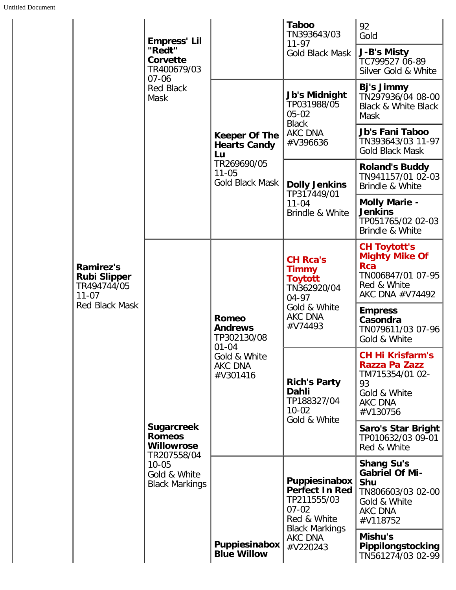|                                                                     | <b>Empress' Lil</b>                                                                                                          |                                                                                                          | <b>Taboo</b><br>TN393643/03                                                                                                                                           | 92<br>Gold                                                                                                           |
|---------------------------------------------------------------------|------------------------------------------------------------------------------------------------------------------------------|----------------------------------------------------------------------------------------------------------|-----------------------------------------------------------------------------------------------------------------------------------------------------------------------|----------------------------------------------------------------------------------------------------------------------|
|                                                                     | "Redt"<br>Corvette<br>TR400679/03<br>$07 - 06$<br><b>Red Black</b><br>Mask                                                   |                                                                                                          | $11 - 97$<br><b>Gold Black Mask</b>                                                                                                                                   | J-B's Misty<br>TC799527 06-89<br>Silver Gold & White                                                                 |
|                                                                     |                                                                                                                              | <b>Keeper Of The</b><br><b>Hearts Candy</b><br>Lu<br>TR269690/05<br>$11 - 05$<br>Gold Black Mask         | <b>Jb's Midnight</b><br>TP031988/05<br>$05 - 02$<br><b>Black</b><br>AKC DNA<br>#V396636                                                                               | Bj's Jimmy<br>TN297936/04 08-00<br><b>Black &amp; White Black</b><br><b>Mask</b>                                     |
|                                                                     |                                                                                                                              |                                                                                                          |                                                                                                                                                                       | Jb's Fani Taboo<br>TN393643/03 11-97<br><b>Gold Black Mask</b>                                                       |
|                                                                     |                                                                                                                              |                                                                                                          | <b>Dolly Jenkins</b>                                                                                                                                                  | <b>Roland's Buddy</b><br>TN941157/01 02-03<br>Brindle & White                                                        |
|                                                                     | <b>Sugarcreek</b><br><b>Romeos</b><br><b>Willowrose</b><br>TR207558/04<br>$10 - 05$<br>Gold & White<br><b>Black Markings</b> | <b>Romeo</b><br><b>Andrews</b><br>TP302130/08<br>$01 - 04$<br>Gold & White<br><b>AKC DNA</b><br>#V301416 | TP317449/01<br>$11 - 04$<br>Brindle & White<br><b>CH Rca's</b><br><b>Timmy</b><br><b>Toytott</b><br>TN362920/04<br>04-97<br>Gold & White<br><b>AKC DNA</b><br>#V74493 | <b>Molly Marie -</b><br><b>Jenkins</b><br>TP051765/02 02-03<br>Brindle & White                                       |
| <b>Ramirez's</b><br><b>Rubi Slipper</b><br>TR494744/05<br>$11 - 07$ |                                                                                                                              |                                                                                                          |                                                                                                                                                                       | <b>CH Toytott's</b><br><b>Mighty Mike Of</b><br><b>Rca</b><br>TN006847/01 07-95<br>Red & White<br>AKC DNA #V74492    |
| <b>Red Black Mask</b>                                               |                                                                                                                              |                                                                                                          |                                                                                                                                                                       | <b>Empress</b><br>Casondra<br>TN079611/03 07-96<br>Gold & White                                                      |
|                                                                     |                                                                                                                              |                                                                                                          | <b>Rich's Party</b><br>Dahli<br>TP188327/04<br>$10 - 02$<br>Gold & White                                                                                              | <b>CH Hi Krisfarm's</b><br>Razza Pa Zazz<br>TM715354/01 02-<br>93<br>Gold & White<br>AKC DNA<br>#V130756             |
|                                                                     |                                                                                                                              |                                                                                                          |                                                                                                                                                                       | Saro's Star Bright<br>TP010632/03 09-01<br>Red & White                                                               |
|                                                                     |                                                                                                                              | Puppiesinabox<br><b>Blue Willow</b>                                                                      | Puppiesinabox<br><b>Perfect In Red</b><br>TP211555/03<br>$07 - 02$<br>Red & White<br><b>Black Markings</b><br>AKC DNA<br>#V220243                                     | <b>Shang Su's</b><br><b>Gabriel Of Mi-</b><br>Shu<br>TN806603/03 02-00<br>Gold & White<br><b>AKC DNA</b><br>#V118752 |
|                                                                     |                                                                                                                              |                                                                                                          |                                                                                                                                                                       | Mishu's<br><b>Pippilongstocking</b><br>TN561274/03 02-99                                                             |